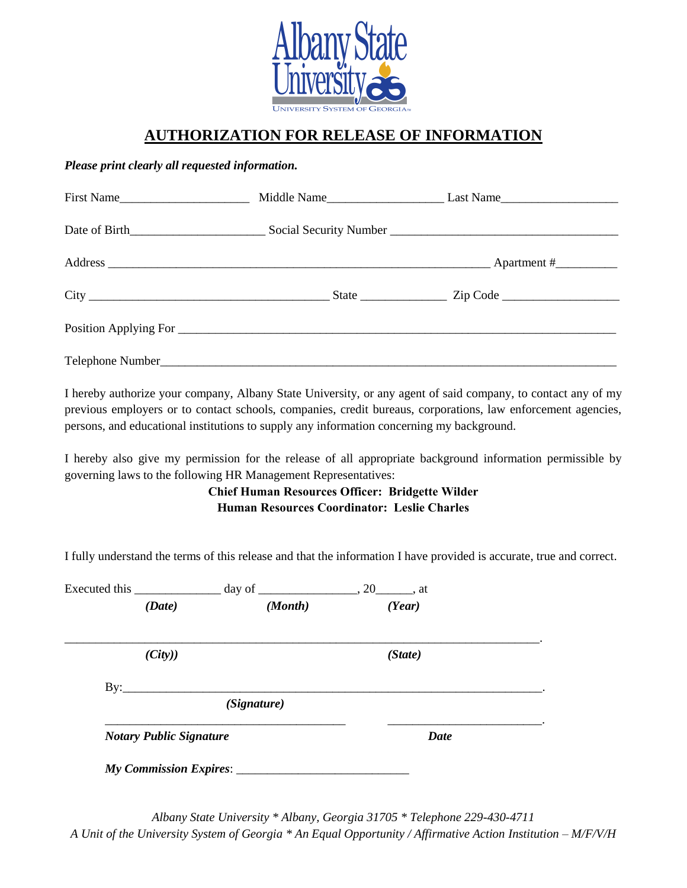

## **AUTHORIZATION FOR RELEASE OF INFORMATION**

#### *Please print clearly all requested information.*

| First Name |  |
|------------|--|
|            |  |
|            |  |
|            |  |
|            |  |
|            |  |

I hereby authorize your company, Albany State University, or any agent of said company, to contact any of my previous employers or to contact schools, companies, credit bureaus, corporations, law enforcement agencies, persons, and educational institutions to supply any information concerning my background.

I hereby also give my permission for the release of all appropriate background information permissible by governing laws to the following HR Management Representatives:

#### **Chief Human Resources Officer: Bridgette Wilder Human Resources Coordinator: Leslie Charles**

I fully understand the terms of this release and that the information I have provided is accurate, true and correct.

| Executed this                  |             |             |  |  |
|--------------------------------|-------------|-------------|--|--|
| (Date)                         | (Month)     | (Year)      |  |  |
| (City)                         |             | (State)     |  |  |
|                                | (Signature) |             |  |  |
| <b>Notary Public Signature</b> |             | <b>Date</b> |  |  |

*Albany State University \* Albany, Georgia 31705 \* Telephone 229-430-4711 A Unit of the University System of Georgia \* An Equal Opportunity / Affirmative Action Institution – M/F/V/H*